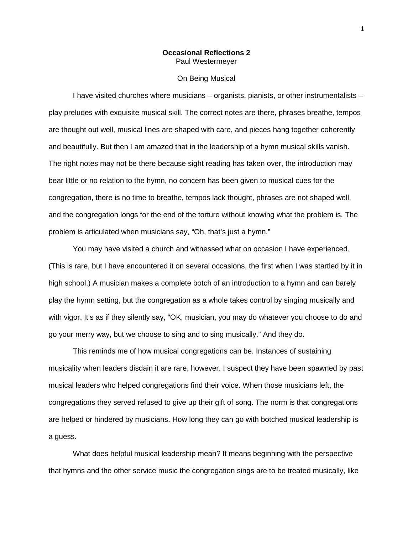## **Occasional Reflections 2** Paul Westermeyer

## On Being Musical

I have visited churches where musicians – organists, pianists, or other instrumentalists – play preludes with exquisite musical skill. The correct notes are there, phrases breathe, tempos are thought out well, musical lines are shaped with care, and pieces hang together coherently and beautifully. But then I am amazed that in the leadership of a hymn musical skills vanish. The right notes may not be there because sight reading has taken over, the introduction may bear little or no relation to the hymn, no concern has been given to musical cues for the congregation, there is no time to breathe, tempos lack thought, phrases are not shaped well, and the congregation longs for the end of the torture without knowing what the problem is. The problem is articulated when musicians say, "Oh, that's just a hymn."

You may have visited a church and witnessed what on occasion I have experienced. (This is rare, but I have encountered it on several occasions, the first when I was startled by it in high school.) A musician makes a complete botch of an introduction to a hymn and can barely play the hymn setting, but the congregation as a whole takes control by singing musically and with vigor. It's as if they silently say, "OK, musician, you may do whatever you choose to do and go your merry way, but we choose to sing and to sing musically." And they do.

This reminds me of how musical congregations can be. Instances of sustaining musicality when leaders disdain it are rare, however. I suspect they have been spawned by past musical leaders who helped congregations find their voice. When those musicians left, the congregations they served refused to give up their gift of song. The norm is that congregations are helped or hindered by musicians. How long they can go with botched musical leadership is a guess.

What does helpful musical leadership mean? It means beginning with the perspective that hymns and the other service music the congregation sings are to be treated musically, like